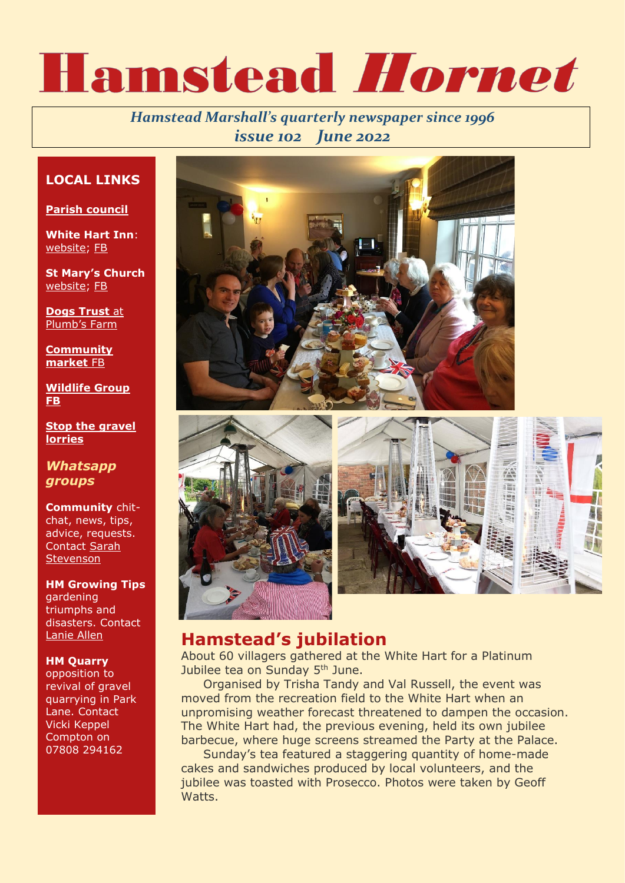# Hamstead Hornet

### *Hamstead Marshall's quarterly newspaper since 1996 issue 102 June 2022*

#### **LOCAL LINKS**

**[Parish council](https://hamsteadmarshall.weebly.com/)**

**White Hart Inn**: [website;](https://www.saviourwhitehart.co.uk/) [FB](https://www.facebook.com/Whitehartinnhamsteadmarshall)

**St Mary's Church** [website;](http://www.hamsteadmarshallchurch.co.uk/) [FB](https://www.facebook.com/hamsteadmarshallchurch)

**[Dogs Trust](https://www.dogstrust.org.uk/our-centres/newbury/)** at Plumb'[s Farm](https://www.dogstrust.org.uk/our-centres/newbury/)

**[Community](https://www.facebook.com/search/top?q=hamstead%20marshall%20%26%20enborne%20village%20market)  [market](https://www.facebook.com/search/top?q=hamstead%20marshall%20%26%20enborne%20village%20market)** FB

**Wildlife Group FB**

**[Stop the gravel](https://www.stopquarrylorries.com/)  [lorries](https://www.stopquarrylorries.com/)**

*Whatsapp groups*

**Community** chitchat, news, tips, advice, requests. Contact [Sarah](mailto:sarah@johnstevenson.biz)  **[Stevenson](mailto:sarah@johnstevenson.biz)** 

**HM Growing Tips** gardening triumphs and disasters. Contact [Lanie Allen](mailto:laonee@btopenworld.com)

#### **HM Quarry**

opposition to revival of gravel quarrying in Park Lane. Contact Vicki Keppel Compton on 07808 294162







## **Hamstead's jubilation**

About 60 villagers gathered at the White Hart for a Platinum Jubilee tea on Sunday 5<sup>th</sup> June.

Organised by Trisha Tandy and Val Russell, the event was moved from the recreation field to the White Hart when an unpromising weather forecast threatened to dampen the occasion. The White Hart had, the previous evening, held its own jubilee barbecue, where huge screens streamed the Party at the Palace.

Sunday's tea featured a staggering quantity of home-made cakes and sandwiches produced by local volunteers, and the jubilee was toasted with Prosecco. Photos were taken by Geoff Watts.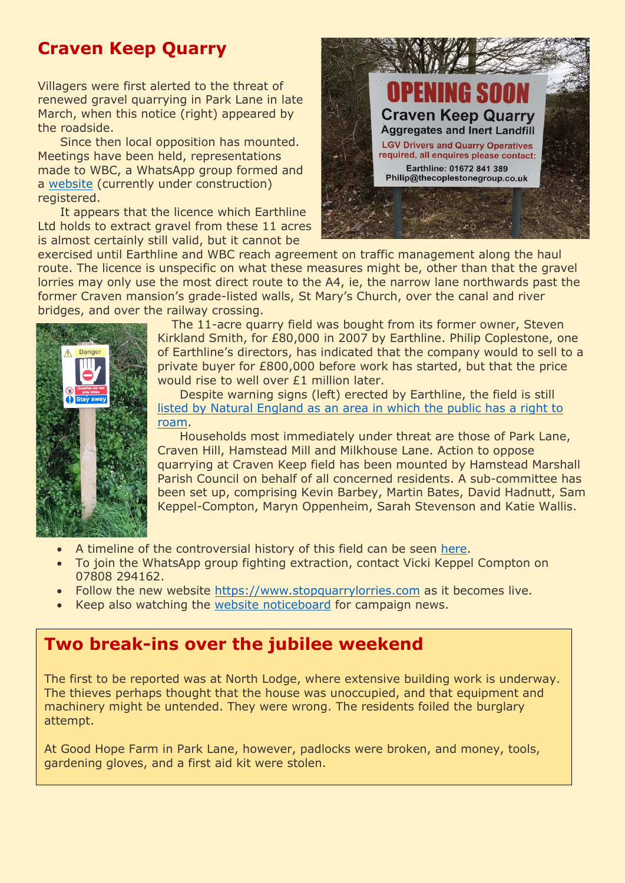## **Craven Keep Quarry**

Villagers were first alerted to the threat of renewed gravel quarrying in Park Lane in late March, when this notice (right) appeared by the roadside.

Since then local opposition has mounted. Meetings have been held, representations made to WBC, a WhatsApp group formed and a [website](https://www.stopquarrylorries.com/) (currently under construction) registered.

It appears that the licence which Earthline Ltd holds to extract gravel from these 11 acres is almost certainly still valid, but it cannot be



exercised until Earthline and WBC reach agreement on traffic management along the haul route. The licence is unspecific on what these measures might be, other than that the gravel lorries may only use the most direct route to the A4, ie, the narrow lane northwards past the former Craven mansion's grade-listed walls, St Mary's Church, over the canal and river bridges, and over the railway crossing.



The 11-acre quarry field was bought from its former owner, Steven Kirkland Smith, for £80,000 in 2007 by Earthline. Philip Coplestone, one of Earthline's directors, has indicated that the company would to sell to a private buyer for £800,000 before work has started, but that the price would rise to well over £1 million later.

Despite warning signs (left) erected by Earthline, the field is still [listed by Natural England as an area in which the public has a right to](http://www.openaccess.naturalengland.org.uk/wps/portal/oasys/maps/MapSearch/!ut/p/c5/04_SB8K8xLLM9MSSzPy8xBz9CP0os3gfdwMzDyNnA0v_kCBXA08DT38XHy9PQ38DE6B8pFm8AQ7gaEBAdzjIPrN4M3cfC0MnfwNLg0A_CwNPC3MTI0cPbwMDY1OIPB7z_Tzyc1P1C3IjDLJMHBUBQs8ezw!!/dl3/d3/L0lDU0lKSmdrS0NsRUpDZ3BSQ1NBL29Ob2dBRUlRaGpFS0lRQUJHY1p3aklDa3FTaFNOQkFOYUEhIS80QzFiOVdfTnIwZ0RFU1pJSlJERVNaTUpRaUlrZmchIS83X0xHMDZIMkMwOU9UUkUwSTBJT0RMSkkxT0c0L1h0dkJrODM5NDAwMDgvaWJtLmludi81MTY0Njk5MDQzMjAvamF2YXguc2VydmxldC5pbmNsdWRlLnBhdGhfaW5mby8lMGpzcCUwT3BlbkFjY2VzcyUwTWFwU2VhcmNoLmpzcA!!/)  [roam.](http://www.openaccess.naturalengland.org.uk/wps/portal/oasys/maps/MapSearch/!ut/p/c5/04_SB8K8xLLM9MSSzPy8xBz9CP0os3gfdwMzDyNnA0v_kCBXA08DT38XHy9PQ38DE6B8pFm8AQ7gaEBAdzjIPrN4M3cfC0MnfwNLg0A_CwNPC3MTI0cPbwMDY1OIPB7z_Tzyc1P1C3IjDLJMHBUBQs8ezw!!/dl3/d3/L0lDU0lKSmdrS0NsRUpDZ3BSQ1NBL29Ob2dBRUlRaGpFS0lRQUJHY1p3aklDa3FTaFNOQkFOYUEhIS80QzFiOVdfTnIwZ0RFU1pJSlJERVNaTUpRaUlrZmchIS83X0xHMDZIMkMwOU9UUkUwSTBJT0RMSkkxT0c0L1h0dkJrODM5NDAwMDgvaWJtLmludi81MTY0Njk5MDQzMjAvamF2YXguc2VydmxldC5pbmNsdWRlLnBhdGhfaW5mby8lMGpzcCUwT3BlbkFjY2VzcyUwTWFwU2VhcmNoLmpzcA!!/)

Households most immediately under threat are those of Park Lane, Craven Hill, Hamstead Mill and Milkhouse Lane. Action to oppose quarrying at Craven Keep field has been mounted by Hamstead Marshall Parish Council on behalf of all concerned residents. A sub-committee has been set up, comprising Kevin Barbey, Martin Bates, David Hadnutt, Sam Keppel-Compton, Maryn Oppenheim, Sarah Stevenson and Katie Wallis.

- A timeline of the controversial history of this field can be seen [here.](https://www.hamsteadmarshall.net/wp-content/uploads/2022/04/quarry-timeline.pdf)
- To join the WhatsApp group fighting extraction, contact Vicki Keppel Compton on 07808 294162.
- Follow the new website [https://www.stopquarrylorries.com](https://www.stopquarrylorries.com/) as it becomes live.
- Keep also watching the [website noticeboard](https://www.hamsteadmarshall.net/social-life/noticeboard/) for campaign news.

## **Two break-ins over the jubilee weekend**

The first to be reported was at North Lodge, where extensive building work is underway. The thieves perhaps thought that the house was unoccupied, and that equipment and machinery might be untended. They were wrong. The residents foiled the burglary attempt.

At Good Hope Farm in Park Lane, however, padlocks were broken, and money, tools, gardening gloves, and a first aid kit were stolen.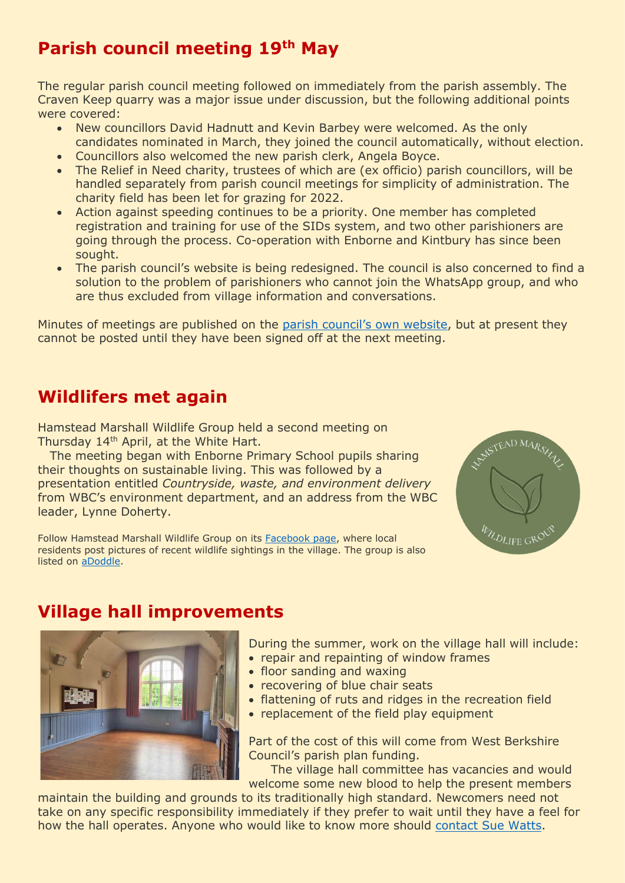## **Parish council meeting 19th May**

The regular parish council meeting followed on immediately from the parish assembly. The Craven Keep quarry was a major issue under discussion, but the following additional points were covered:

- New councillors David Hadnutt and Kevin Barbey were welcomed. As the only candidates nominated in March, they joined the council automatically, without election.
- Councillors also welcomed the new parish clerk, Angela Boyce.
- The Relief in Need charity, trustees of which are (ex officio) parish councillors, will be handled separately from parish council meetings for simplicity of administration. The charity field has been let for grazing for 2022.
- Action against speeding continues to be a priority. One member has completed registration and training for use of the SIDs system, and two other parishioners are going through the process. Co-operation with Enborne and Kintbury has since been sought.
- The parish council's website is being redesigned. The council is also concerned to find a solution to the problem of parishioners who cannot join the WhatsApp group, and who are thus excluded from village information and conversations.

Minutes of meetings are published on the [parish council's own website](https://hamsteadmarshall.weebly.com/), but at present they cannot be posted until they have been signed off at the next meeting.

## **Wildlifers met again**

Hamstead Marshall Wildlife Group held a second meeting on Thursday 14<sup>th</sup> April, at the White Hart.

 The meeting began with Enborne Primary School pupils sharing their thoughts on sustainable living. This was followed by a presentation entitled *Countryside, waste, and environment delivery* from WBC's environment department, and an address from the WBC leader, Lynne Doherty.

Follow Hamstead Marshall Wildlife Group on its [Facebook page,](https://www.facebook.com/groups/150773210236945) where local residents post pictures of recent wildlife sightings in the village. The group is also listed on [aDoddle.](https://adoddle.org/app/projects/4865/hamstead-marshall-wildlife-group?v=map)



## **Village hall improvements**

During the summer, work on the village hall will include: • repair and repainting of window frames

- floor sanding and waxing
- recovering of blue chair seats
- flattening of ruts and ridges in the recreation field
- replacement of the field play equipment

Part of the cost of this will come from West Berkshire Council's parish plan funding.

The village hall committee has vacancies and would welcome some new blood to help the present members

maintain the building and grounds to its traditionally high standard. Newcomers need not take on any specific responsibility immediately if they prefer to wait until they have a feel for how the hall operates. Anyone who would like to know more should [contact Sue Watts.](mailto:soosy.watts@gmail.com)

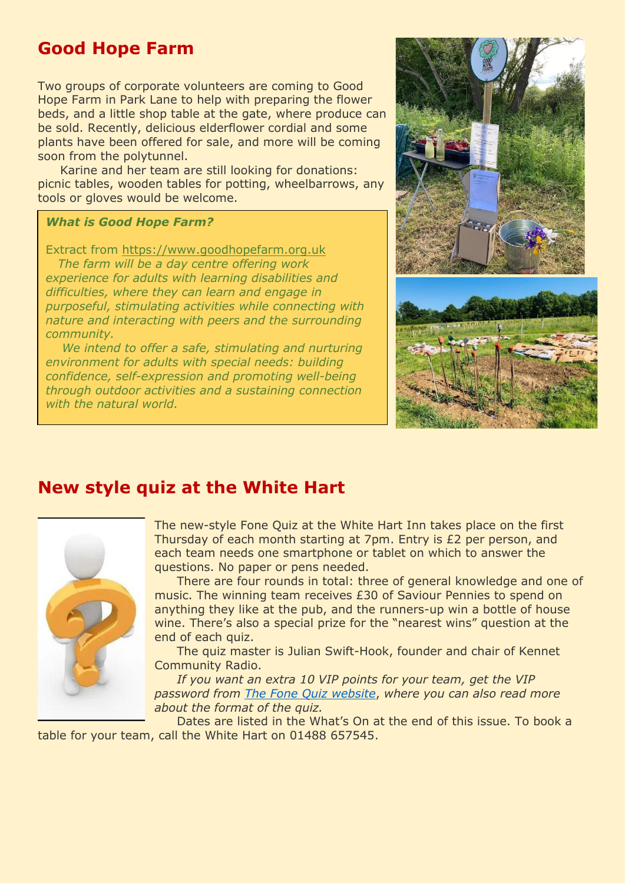## **Good Hope Farm**

Two groups of corporate volunteers are coming to Good Hope Farm in Park Lane to help with preparing the flower beds, and a little shop table at the gate, where produce can be sold. Recently, delicious elderflower cordial and some plants have been offered for sale, and more will be coming soon from the polytunnel.

Karine and her team are still looking for donations: picnic tables, wooden tables for potting, wheelbarrows, any tools or gloves would be welcome.

#### *What is Good Hope Farm?*

Extract from [https://www.goodhopefarm.org.uk](https://www.goodhopefarm.org.uk/)

 *The farm will be a day centre offering work experience for adults with learning disabilities and difficulties, where they can learn and engage in purposeful, stimulating activities while connecting with nature and interacting with peers and the surrounding community.*

 *We intend to offer a safe, stimulating and nurturing environment for adults with special needs: building confidence, self-expression and promoting well-being through outdoor activities and a sustaining connection with the natural world.*





## **New style quiz at the White Hart**



The new-style Fone Quiz at the White Hart Inn takes place on the first Thursday of each month starting at 7pm. Entry is £2 per person, and each team needs one smartphone or tablet on which to answer the questions. No paper or pens needed.

There are four rounds in total: three of general knowledge and one of music. The winning team receives £30 of Saviour Pennies to spend on anything they like at the pub, and the runners-up win a bottle of house wine. There's also a special prize for the "nearest wins" question at the end of each quiz.

The quiz master is Julian Swift-Hook, founder and chair of Kennet Community Radio.

*If you want an extra 10 VIP points for your team, get the VIP password from [The Fone Quiz website](http://www.thefonequiz.uk/vip)*, *where you can also read more about the format of the quiz.*

Dates are listed in the What's On at the end of this issue. To book a table for your team, call the White Hart on 01488 657545.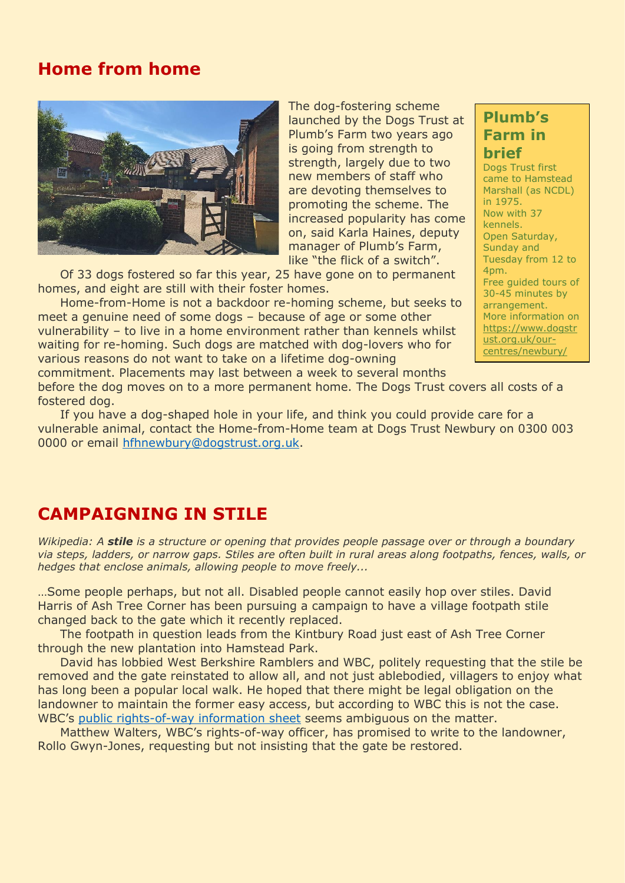## **Home from home**



The dog-fostering scheme launched by the Dogs Trust at Plumb's Farm two years ago is going from strength to strength, largely due to two new members of staff who are devoting themselves to promoting the scheme. The increased popularity has come on, said Karla Haines, deputy manager of Plumb's Farm, like "the flick of a switch".

Of 33 dogs fostered so far this year, 25 have gone on to permanent homes, and eight are still with their foster homes.

Home-from-Home is not a backdoor re-homing scheme, but seeks to meet a genuine need of some dogs – because of age or some other vulnerability – to live in a home environment rather than kennels whilst waiting for re-homing. Such dogs are matched with dog-lovers who for various reasons do not want to take on a lifetime dog-owning commitment. Placements may last between a week to several months

before the dog moves on to a more permanent home. The Dogs Trust covers all costs of a fostered dog.

If you have a dog-shaped hole in your life, and think you could provide care for a vulnerable animal, contact the Home-from-Home team at Dogs Trust Newbury on 0300 003 0000 or email [hfhnewbury@dogstrust.org.uk.](mailto:hfhnewbury@dogstrust.org.uk)

## **CAMPAIGNING IN STILE**

*Wikipedia: A stile is a structure or opening that provides people passage over or through a boundary via steps, ladders, or narrow gaps. Stiles are often built in rural areas along footpaths, fences, walls, or hedges that enclose animals, allowing people to move freely...*

…Some people perhaps, but not all. Disabled people cannot easily hop over stiles. David Harris of Ash Tree Corner has been pursuing a campaign to have a village footpath stile changed back to the gate which it recently replaced.

The footpath in question leads from the Kintbury Road just east of Ash Tree Corner through the new plantation into Hamstead Park.

David has lobbied West Berkshire Ramblers and WBC, politely requesting that the stile be removed and the gate reinstated to allow all, and not just ablebodied, villagers to enjoy what has long been a popular local walk. He hoped that there might be legal obligation on the landowner to maintain the former easy access, but according to WBC this is not the case. WBC's [public rights-of-way information sheet](https://www.westberks.gov.uk/media/47323/Information-sheet-Obstructions-on-public-rights-of-way/pdf/Standard_Obstruction_Info_Sheet_2020.pdf?m=637656521355930000) seems ambiguous on the matter.

Matthew Walters, WBC's rights-of-way officer, has promised to write to the landowner, Rollo Gwyn-Jones, requesting but not insisting that the gate be restored.

## **Plumb's Farm in brief**

Dogs Trust first came to Hamstead Marshall (as NCDL) in 1975. Now with 37 kennels. Open Saturday, Sunday and Tuesday from 12 to 4pm. Free guided tours of 30-45 minutes by arrangement. More information on [https://www.dogstr](https://www.dogstrust.org.uk/our-centres/newbury/) [ust.org.uk/our](https://www.dogstrust.org.uk/our-centres/newbury/)[centres/newbury/](https://www.dogstrust.org.uk/our-centres/newbury/)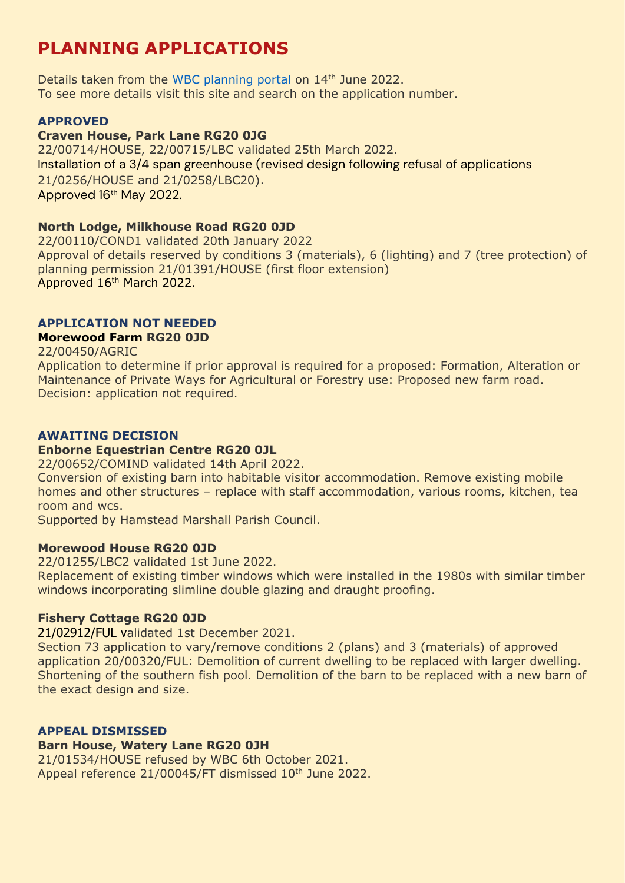## **PLANNING APPLICATIONS**

Details taken from the [WBC planning portal](https://publicaccess.westberks.gov.uk/) on 14<sup>th</sup> June 2022. To see more details visit this site and search on the application number.

#### **APPROVED**

#### **Craven House, Park Lane RG20 0JG**

22/00714/HOUSE, 22/00715/LBC validated 25th March 2022. Installation of a 3/4 span greenhouse (revised design following refusal of applications 21/0256/HOUSE and 21/0258/LBC20). Approved 16<sup>th</sup> May 2022.

#### **North Lodge, Milkhouse Road RG20 0JD**

22/00110/COND1 validated 20th January 2022 Approval of details reserved by conditions 3 (materials), 6 (lighting) and 7 (tree protection) of planning permission 21/01391/HOUSE (first floor extension) Approved 16<sup>th</sup> March 2022.

#### **APPLICATION NOT NEEDED**

#### **Morewood Farm RG20 0JD**

22/00450/AGRIC Application to determine if prior approval is required for a proposed: Formation, Alteration or Maintenance of Private Ways for Agricultural or Forestry use: Proposed new farm road. Decision: application not required.

#### **AWAITING DECISION**

#### **Enborne Equestrian Centre RG20 0JL**

22/00652/COMIND validated 14th April 2022.

Conversion of existing barn into habitable visitor accommodation. Remove existing mobile homes and other structures – replace with staff accommodation, various rooms, kitchen, tea room and wcs.

Supported by Hamstead Marshall Parish Council.

#### **Morewood House RG20 0JD**

22/01255/LBC2 validated 1st June 2022.

Replacement of existing timber windows which were installed in the 1980s with similar timber windows incorporating slimline double glazing and draught proofing.

#### **Fishery Cottage RG20 0JD**

21/02912/FUL validated 1st December 2021.

Section 73 application to vary/remove conditions 2 (plans) and 3 (materials) of approved application 20/00320/FUL: Demolition of current dwelling to be replaced with larger dwelling. Shortening of the southern fish pool. Demolition of the barn to be replaced with a new barn of the exact design and size.

#### **APPEAL DISMISSED**

#### **Barn House, Watery Lane RG20 0JH**

21/01534/HOUSE refused by WBC 6th October 2021. Appeal reference 21/00045/FT dismissed 10<sup>th</sup> June 2022.